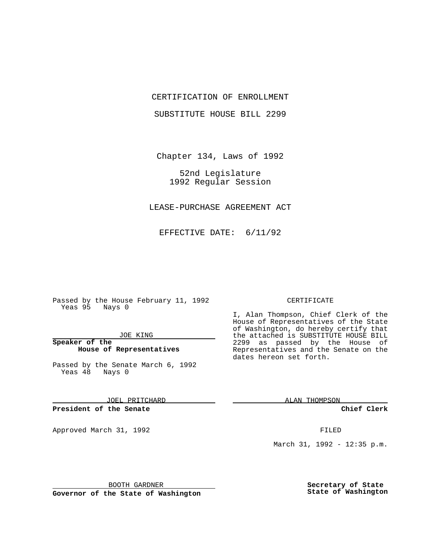## CERTIFICATION OF ENROLLMENT

SUBSTITUTE HOUSE BILL 2299

Chapter 134, Laws of 1992

52nd Legislature 1992 Regular Session

LEASE-PURCHASE AGREEMENT ACT

EFFECTIVE DATE: 6/11/92

Passed by the House February 11, 1992 Yeas 95 Nays 0

### JOE KING

### **Speaker of the House of Representatives**

Passed by the Senate March 6, 1992 Yeas 48 Nays 0

JOEL PRITCHARD

**President of the Senate**

Approved March 31, 1992 **FILED** 

### CERTIFICATE

I, Alan Thompson, Chief Clerk of the House of Representatives of the State of Washington, do hereby certify that the attached is SUBSTITUTE HOUSE BILL 2299 as passed by the House of Representatives and the Senate on the dates hereon set forth.

ALAN THOMPSON

**Chief Clerk**

March 31, 1992 - 12:35 p.m.

BOOTH GARDNER

**Governor of the State of Washington**

**Secretary of State State of Washington**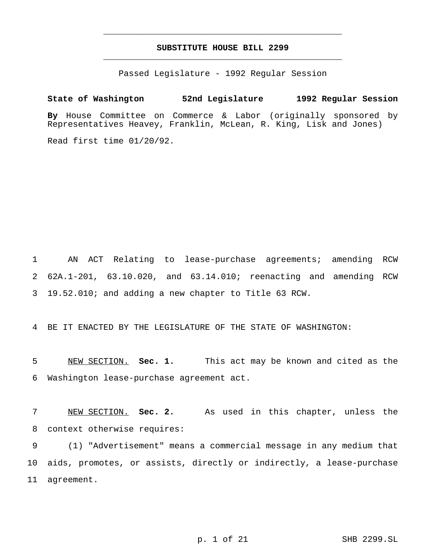# **SUBSTITUTE HOUSE BILL 2299** \_\_\_\_\_\_\_\_\_\_\_\_\_\_\_\_\_\_\_\_\_\_\_\_\_\_\_\_\_\_\_\_\_\_\_\_\_\_\_\_\_\_\_\_\_\_\_

\_\_\_\_\_\_\_\_\_\_\_\_\_\_\_\_\_\_\_\_\_\_\_\_\_\_\_\_\_\_\_\_\_\_\_\_\_\_\_\_\_\_\_\_\_\_\_

Passed Legislature - 1992 Regular Session

## **State of Washington 52nd Legislature 1992 Regular Session**

**By** House Committee on Commerce & Labor (originally sponsored by Representatives Heavey, Franklin, McLean, R. King, Lisk and Jones)

Read first time 01/20/92.

1 AN ACT Relating to lease-purchase agreements; amending RCW 2 62A.1-201, 63.10.020, and 63.14.010; reenacting and amending RCW 3 19.52.010; and adding a new chapter to Title 63 RCW.

4 BE IT ENACTED BY THE LEGISLATURE OF THE STATE OF WASHINGTON:

5 NEW SECTION. **Sec. 1.** This act may be known and cited as the 6 Washington lease-purchase agreement act.

7 NEW SECTION. **Sec. 2.** As used in this chapter, unless the 8 context otherwise requires:

9 (1) "Advertisement" means a commercial message in any medium that 10 aids, promotes, or assists, directly or indirectly, a lease-purchase 11 agreement.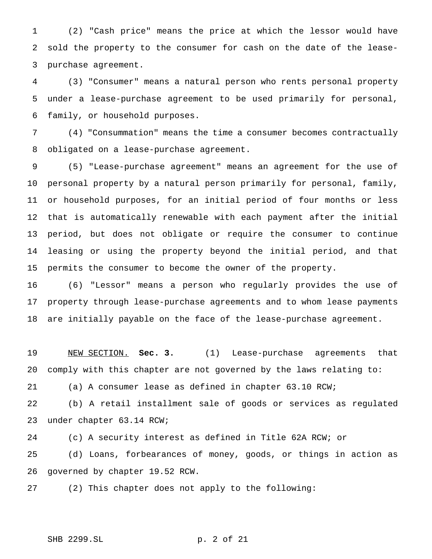(2) "Cash price" means the price at which the lessor would have sold the property to the consumer for cash on the date of the lease-purchase agreement.

 (3) "Consumer" means a natural person who rents personal property under a lease-purchase agreement to be used primarily for personal, family, or household purposes.

 (4) "Consummation" means the time a consumer becomes contractually obligated on a lease-purchase agreement.

 (5) "Lease-purchase agreement" means an agreement for the use of personal property by a natural person primarily for personal, family, or household purposes, for an initial period of four months or less that is automatically renewable with each payment after the initial period, but does not obligate or require the consumer to continue leasing or using the property beyond the initial period, and that permits the consumer to become the owner of the property.

 (6) "Lessor" means a person who regularly provides the use of property through lease-purchase agreements and to whom lease payments are initially payable on the face of the lease-purchase agreement.

 NEW SECTION. **Sec. 3.** (1) Lease-purchase agreements that comply with this chapter are not governed by the laws relating to:

(a) A consumer lease as defined in chapter 63.10 RCW;

 (b) A retail installment sale of goods or services as regulated under chapter 63.14 RCW;

(c) A security interest as defined in Title 62A RCW; or

 (d) Loans, forbearances of money, goods, or things in action as governed by chapter 19.52 RCW.

(2) This chapter does not apply to the following:

```
SHB 2299.SL p. 2 of 21
```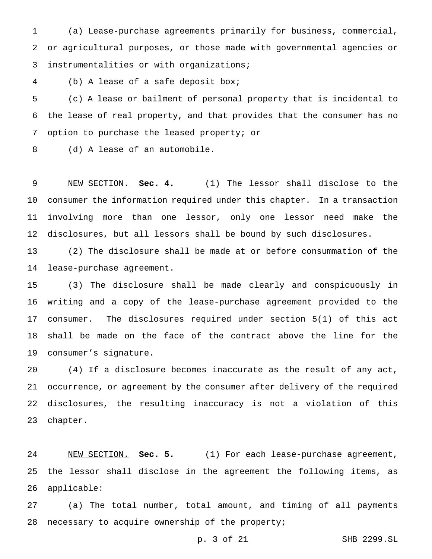(a) Lease-purchase agreements primarily for business, commercial, or agricultural purposes, or those made with governmental agencies or instrumentalities or with organizations;

(b) A lease of a safe deposit box;

 (c) A lease or bailment of personal property that is incidental to the lease of real property, and that provides that the consumer has no option to purchase the leased property; or

(d) A lease of an automobile.

 NEW SECTION. **Sec. 4.** (1) The lessor shall disclose to the consumer the information required under this chapter. In a transaction involving more than one lessor, only one lessor need make the disclosures, but all lessors shall be bound by such disclosures.

 (2) The disclosure shall be made at or before consummation of the lease-purchase agreement.

 (3) The disclosure shall be made clearly and conspicuously in writing and a copy of the lease-purchase agreement provided to the consumer. The disclosures required under section 5(1) of this act shall be made on the face of the contract above the line for the consumer's signature.

 (4) If a disclosure becomes inaccurate as the result of any act, occurrence, or agreement by the consumer after delivery of the required disclosures, the resulting inaccuracy is not a violation of this chapter.

 NEW SECTION. **Sec. 5.** (1) For each lease-purchase agreement, the lessor shall disclose in the agreement the following items, as applicable:

 (a) The total number, total amount, and timing of all payments 28 necessary to acquire ownership of the property;

p. 3 of 21 SHB 2299.SL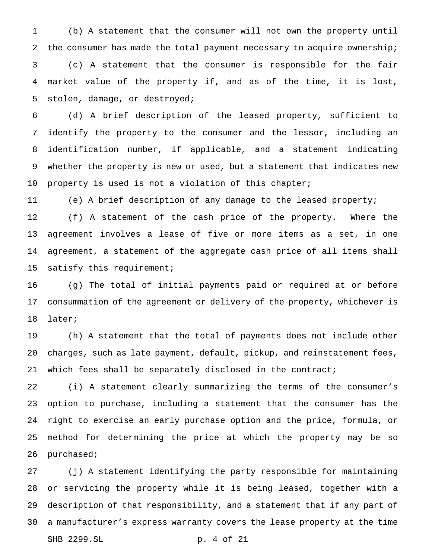(b) A statement that the consumer will not own the property until the consumer has made the total payment necessary to acquire ownership; (c) A statement that the consumer is responsible for the fair market value of the property if, and as of the time, it is lost, stolen, damage, or destroyed;

 (d) A brief description of the leased property, sufficient to identify the property to the consumer and the lessor, including an identification number, if applicable, and a statement indicating whether the property is new or used, but a statement that indicates new property is used is not a violation of this chapter;

(e) A brief description of any damage to the leased property;

 (f) A statement of the cash price of the property. Where the agreement involves a lease of five or more items as a set, in one agreement, a statement of the aggregate cash price of all items shall satisfy this requirement;

 (g) The total of initial payments paid or required at or before consummation of the agreement or delivery of the property, whichever is later;

 (h) A statement that the total of payments does not include other charges, such as late payment, default, pickup, and reinstatement fees, 21 which fees shall be separately disclosed in the contract;

 (i) A statement clearly summarizing the terms of the consumer's option to purchase, including a statement that the consumer has the right to exercise an early purchase option and the price, formula, or method for determining the price at which the property may be so purchased;

 (j) A statement identifying the party responsible for maintaining or servicing the property while it is being leased, together with a description of that responsibility, and a statement that if any part of a manufacturer's express warranty covers the lease property at the time SHB 2299.SL p. 4 of 21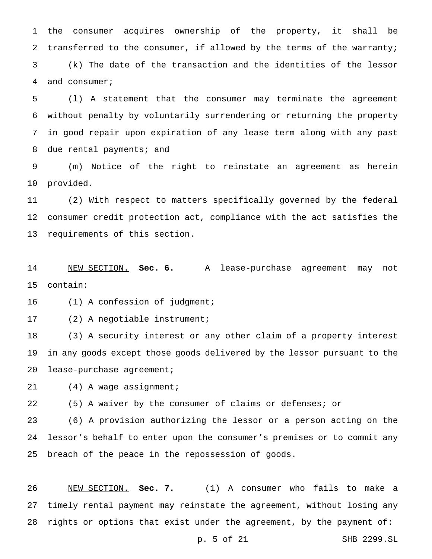the consumer acquires ownership of the property, it shall be transferred to the consumer, if allowed by the terms of the warranty; (k) The date of the transaction and the identities of the lessor and consumer;

 (l) A statement that the consumer may terminate the agreement without penalty by voluntarily surrendering or returning the property in good repair upon expiration of any lease term along with any past 8 due rental payments; and

 (m) Notice of the right to reinstate an agreement as herein provided.

 (2) With respect to matters specifically governed by the federal consumer credit protection act, compliance with the act satisfies the requirements of this section.

 NEW SECTION. **Sec. 6.** A lease-purchase agreement may not contain:

16 (1) A confession of judgment;

(2) A negotiable instrument;

 (3) A security interest or any other claim of a property interest in any goods except those goods delivered by the lessor pursuant to the lease-purchase agreement;

(4) A wage assignment;

(5) A waiver by the consumer of claims or defenses; or

 (6) A provision authorizing the lessor or a person acting on the lessor's behalf to enter upon the consumer's premises or to commit any breach of the peace in the repossession of goods.

 NEW SECTION. **Sec. 7.** (1) A consumer who fails to make a timely rental payment may reinstate the agreement, without losing any rights or options that exist under the agreement, by the payment of:

p. 5 of 21 SHB 2299.SL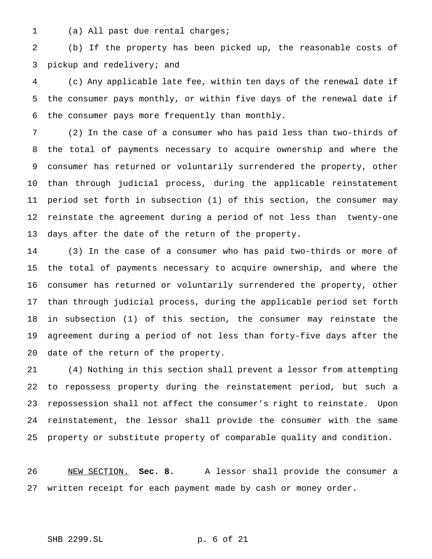(a) All past due rental charges;

 (b) If the property has been picked up, the reasonable costs of pickup and redelivery; and

 (c) Any applicable late fee, within ten days of the renewal date if the consumer pays monthly, or within five days of the renewal date if the consumer pays more frequently than monthly.

 (2) In the case of a consumer who has paid less than two-thirds of the total of payments necessary to acquire ownership and where the consumer has returned or voluntarily surrendered the property, other than through judicial process, during the applicable reinstatement period set forth in subsection (1) of this section, the consumer may reinstate the agreement during a period of not less than twenty-one days after the date of the return of the property.

 (3) In the case of a consumer who has paid two-thirds or more of the total of payments necessary to acquire ownership, and where the consumer has returned or voluntarily surrendered the property, other than through judicial process, during the applicable period set forth in subsection (1) of this section, the consumer may reinstate the agreement during a period of not less than forty-five days after the date of the return of the property.

 (4) Nothing in this section shall prevent a lessor from attempting to repossess property during the reinstatement period, but such a repossession shall not affect the consumer's right to reinstate. Upon reinstatement, the lessor shall provide the consumer with the same property or substitute property of comparable quality and condition.

 NEW SECTION. **Sec. 8.** A lessor shall provide the consumer a written receipt for each payment made by cash or money order.

SHB 2299.SL p. 6 of 21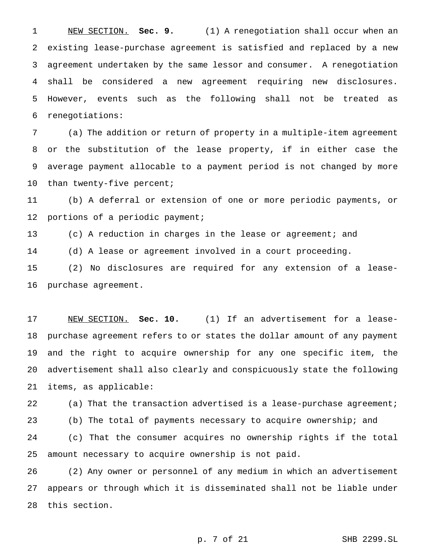NEW SECTION. **Sec. 9.** (1) A renegotiation shall occur when an existing lease-purchase agreement is satisfied and replaced by a new agreement undertaken by the same lessor and consumer. A renegotiation shall be considered a new agreement requiring new disclosures. However, events such as the following shall not be treated as renegotiations:

 (a) The addition or return of property in a multiple-item agreement or the substitution of the lease property, if in either case the average payment allocable to a payment period is not changed by more 10 than twenty-five percent;

 (b) A deferral or extension of one or more periodic payments, or portions of a periodic payment;

(c) A reduction in charges in the lease or agreement; and

(d) A lease or agreement involved in a court proceeding.

 (2) No disclosures are required for any extension of a lease-purchase agreement.

 NEW SECTION. **Sec. 10.** (1) If an advertisement for a lease- purchase agreement refers to or states the dollar amount of any payment and the right to acquire ownership for any one specific item, the advertisement shall also clearly and conspicuously state the following items, as applicable:

22 (a) That the transaction advertised is a lease-purchase agreement; (b) The total of payments necessary to acquire ownership; and (c) That the consumer acquires no ownership rights if the total amount necessary to acquire ownership is not paid.

 (2) Any owner or personnel of any medium in which an advertisement appears or through which it is disseminated shall not be liable under this section.

p. 7 of 21 SHB 2299.SL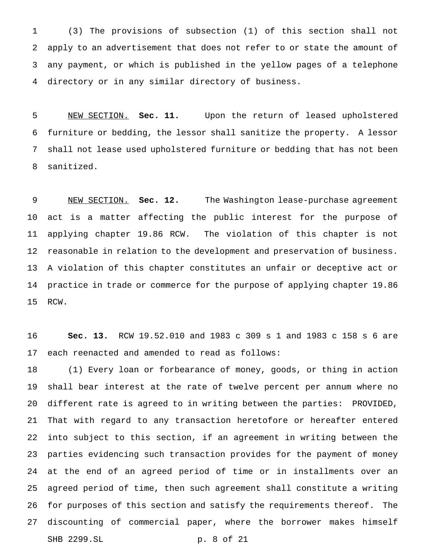(3) The provisions of subsection (1) of this section shall not apply to an advertisement that does not refer to or state the amount of any payment, or which is published in the yellow pages of a telephone directory or in any similar directory of business.

 NEW SECTION. **Sec. 11.** Upon the return of leased upholstered furniture or bedding, the lessor shall sanitize the property. A lessor shall not lease used upholstered furniture or bedding that has not been sanitized.

 NEW SECTION. **Sec. 12.** The Washington lease-purchase agreement act is a matter affecting the public interest for the purpose of applying chapter 19.86 RCW. The violation of this chapter is not reasonable in relation to the development and preservation of business. A violation of this chapter constitutes an unfair or deceptive act or practice in trade or commerce for the purpose of applying chapter 19.86 RCW.

 **Sec. 13.** RCW 19.52.010 and 1983 c 309 s 1 and 1983 c 158 s 6 are each reenacted and amended to read as follows:

 (1) Every loan or forbearance of money, goods, or thing in action shall bear interest at the rate of twelve percent per annum where no different rate is agreed to in writing between the parties: PROVIDED, That with regard to any transaction heretofore or hereafter entered into subject to this section, if an agreement in writing between the parties evidencing such transaction provides for the payment of money at the end of an agreed period of time or in installments over an agreed period of time, then such agreement shall constitute a writing for purposes of this section and satisfy the requirements thereof. The discounting of commercial paper, where the borrower makes himself SHB 2299.SL p. 8 of 21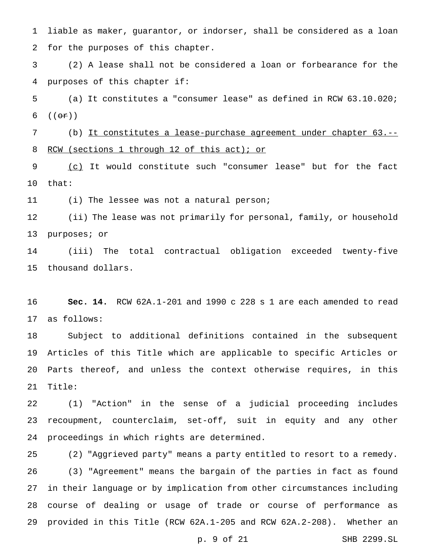liable as maker, guarantor, or indorser, shall be considered as a loan for the purposes of this chapter.

 (2) A lease shall not be considered a loan or forbearance for the purposes of this chapter if:

 (a) It constitutes a "consumer lease" as defined in RCW 63.10.020; 6  $((\theta \cdot \mathbf{r}))$ 

 (b) It constitutes a lease-purchase agreement under chapter 63.-- 8 RCW (sections 1 through 12 of this act); or

9 (c) It would constitute such "consumer lease" but for the fact that:

(i) The lessee was not a natural person;

 (ii) The lease was not primarily for personal, family, or household purposes; or

 (iii) The total contractual obligation exceeded twenty-five thousand dollars.

 **Sec. 14.** RCW 62A.1-201 and 1990 c 228 s 1 are each amended to read as follows:

 Subject to additional definitions contained in the subsequent Articles of this Title which are applicable to specific Articles or Parts thereof, and unless the context otherwise requires, in this Title:

 (1) "Action" in the sense of a judicial proceeding includes recoupment, counterclaim, set-off, suit in equity and any other proceedings in which rights are determined.

 (2) "Aggrieved party" means a party entitled to resort to a remedy. (3) "Agreement" means the bargain of the parties in fact as found in their language or by implication from other circumstances including course of dealing or usage of trade or course of performance as provided in this Title (RCW 62A.1-205 and RCW 62A.2-208). Whether an

p. 9 of 21 SHB 2299.SL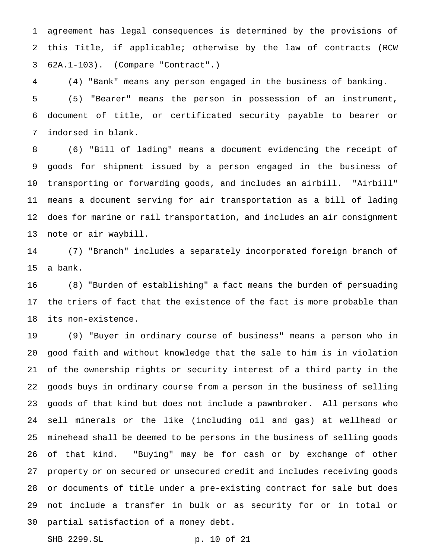agreement has legal consequences is determined by the provisions of this Title, if applicable; otherwise by the law of contracts (RCW 62A.1-103). (Compare "Contract".)

 (4) "Bank" means any person engaged in the business of banking. (5) "Bearer" means the person in possession of an instrument, document of title, or certificated security payable to bearer or indorsed in blank.

 (6) "Bill of lading" means a document evidencing the receipt of goods for shipment issued by a person engaged in the business of transporting or forwarding goods, and includes an airbill. "Airbill" means a document serving for air transportation as a bill of lading does for marine or rail transportation, and includes an air consignment note or air waybill.

 (7) "Branch" includes a separately incorporated foreign branch of a bank.

 (8) "Burden of establishing" a fact means the burden of persuading the triers of fact that the existence of the fact is more probable than its non-existence.

 (9) "Buyer in ordinary course of business" means a person who in good faith and without knowledge that the sale to him is in violation of the ownership rights or security interest of a third party in the goods buys in ordinary course from a person in the business of selling goods of that kind but does not include a pawnbroker. All persons who sell minerals or the like (including oil and gas) at wellhead or minehead shall be deemed to be persons in the business of selling goods of that kind. "Buying" may be for cash or by exchange of other property or on secured or unsecured credit and includes receiving goods or documents of title under a pre-existing contract for sale but does not include a transfer in bulk or as security for or in total or partial satisfaction of a money debt.

```
SHB 2299.SL p. 10 of 21
```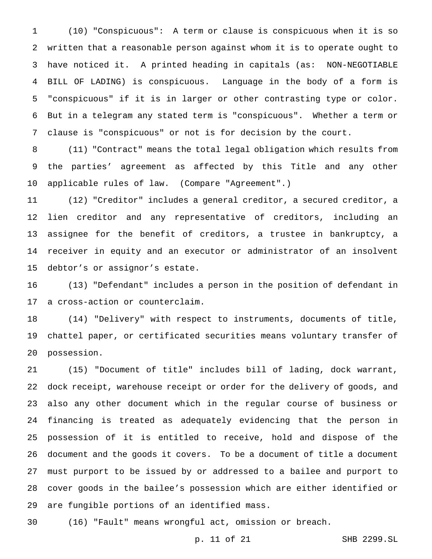(10) "Conspicuous": A term or clause is conspicuous when it is so written that a reasonable person against whom it is to operate ought to have noticed it. A printed heading in capitals (as: NON-NEGOTIABLE BILL OF LADING) is conspicuous. Language in the body of a form is "conspicuous" if it is in larger or other contrasting type or color. But in a telegram any stated term is "conspicuous". Whether a term or clause is "conspicuous" or not is for decision by the court.

 (11) "Contract" means the total legal obligation which results from the parties' agreement as affected by this Title and any other applicable rules of law. (Compare "Agreement".)

 (12) "Creditor" includes a general creditor, a secured creditor, a lien creditor and any representative of creditors, including an assignee for the benefit of creditors, a trustee in bankruptcy, a receiver in equity and an executor or administrator of an insolvent debtor's or assignor's estate.

 (13) "Defendant" includes a person in the position of defendant in a cross-action or counterclaim.

 (14) "Delivery" with respect to instruments, documents of title, chattel paper, or certificated securities means voluntary transfer of possession.

 (15) "Document of title" includes bill of lading, dock warrant, dock receipt, warehouse receipt or order for the delivery of goods, and also any other document which in the regular course of business or financing is treated as adequately evidencing that the person in possession of it is entitled to receive, hold and dispose of the document and the goods it covers. To be a document of title a document must purport to be issued by or addressed to a bailee and purport to cover goods in the bailee's possession which are either identified or are fungible portions of an identified mass.

(16) "Fault" means wrongful act, omission or breach.

p. 11 of 21 SHB 2299.SL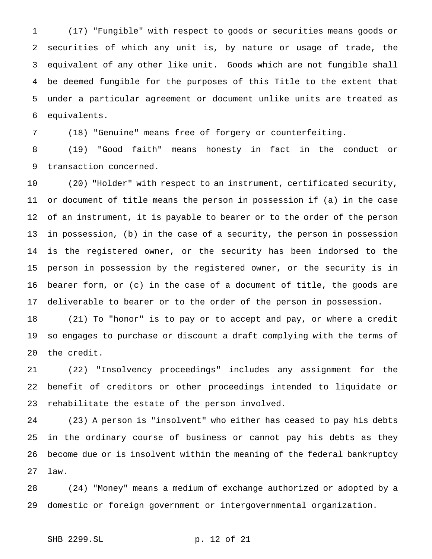(17) "Fungible" with respect to goods or securities means goods or securities of which any unit is, by nature or usage of trade, the equivalent of any other like unit. Goods which are not fungible shall be deemed fungible for the purposes of this Title to the extent that under a particular agreement or document unlike units are treated as equivalents.

(18) "Genuine" means free of forgery or counterfeiting.

 (19) "Good faith" means honesty in fact in the conduct or transaction concerned.

 (20) "Holder" with respect to an instrument, certificated security, or document of title means the person in possession if (a) in the case of an instrument, it is payable to bearer or to the order of the person in possession, (b) in the case of a security, the person in possession is the registered owner, or the security has been indorsed to the person in possession by the registered owner, or the security is in bearer form, or (c) in the case of a document of title, the goods are deliverable to bearer or to the order of the person in possession.

 (21) To "honor" is to pay or to accept and pay, or where a credit so engages to purchase or discount a draft complying with the terms of the credit.

 (22) "Insolvency proceedings" includes any assignment for the benefit of creditors or other proceedings intended to liquidate or rehabilitate the estate of the person involved.

 (23) A person is "insolvent" who either has ceased to pay his debts in the ordinary course of business or cannot pay his debts as they become due or is insolvent within the meaning of the federal bankruptcy law.

 (24) "Money" means a medium of exchange authorized or adopted by a domestic or foreign government or intergovernmental organization.

```
SHB 2299.SL p. 12 of 21
```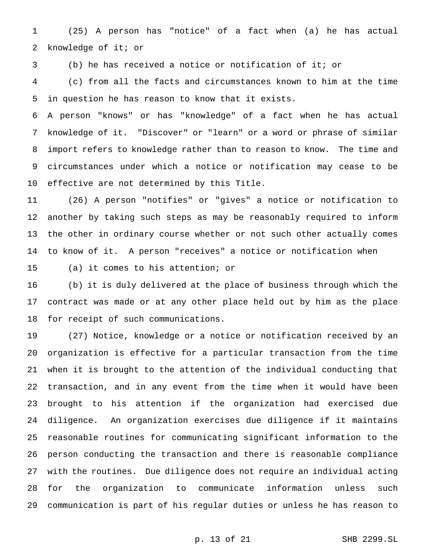(25) A person has "notice" of a fact when (a) he has actual knowledge of it; or

(b) he has received a notice or notification of it; or

 (c) from all the facts and circumstances known to him at the time in question he has reason to know that it exists.

 A person "knows" or has "knowledge" of a fact when he has actual knowledge of it. "Discover" or "learn" or a word or phrase of similar import refers to knowledge rather than to reason to know. The time and circumstances under which a notice or notification may cease to be effective are not determined by this Title.

 (26) A person "notifies" or "gives" a notice or notification to another by taking such steps as may be reasonably required to inform the other in ordinary course whether or not such other actually comes to know of it. A person "receives" a notice or notification when

(a) it comes to his attention; or

 (b) it is duly delivered at the place of business through which the contract was made or at any other place held out by him as the place for receipt of such communications.

 (27) Notice, knowledge or a notice or notification received by an organization is effective for a particular transaction from the time when it is brought to the attention of the individual conducting that transaction, and in any event from the time when it would have been brought to his attention if the organization had exercised due diligence. An organization exercises due diligence if it maintains reasonable routines for communicating significant information to the person conducting the transaction and there is reasonable compliance with the routines. Due diligence does not require an individual acting for the organization to communicate information unless such communication is part of his regular duties or unless he has reason to

p. 13 of 21 SHB 2299.SL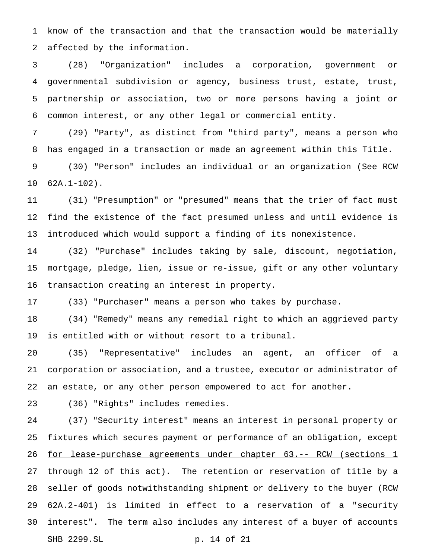know of the transaction and that the transaction would be materially affected by the information.

 (28) "Organization" includes a corporation, government or governmental subdivision or agency, business trust, estate, trust, partnership or association, two or more persons having a joint or common interest, or any other legal or commercial entity.

 (29) "Party", as distinct from "third party", means a person who has engaged in a transaction or made an agreement within this Title.

 (30) "Person" includes an individual or an organization (See RCW 62A.1-102).

 (31) "Presumption" or "presumed" means that the trier of fact must find the existence of the fact presumed unless and until evidence is introduced which would support a finding of its nonexistence.

 (32) "Purchase" includes taking by sale, discount, negotiation, mortgage, pledge, lien, issue or re-issue, gift or any other voluntary transaction creating an interest in property.

(33) "Purchaser" means a person who takes by purchase.

 (34) "Remedy" means any remedial right to which an aggrieved party is entitled with or without resort to a tribunal.

 (35) "Representative" includes an agent, an officer of a corporation or association, and a trustee, executor or administrator of an estate, or any other person empowered to act for another.

(36) "Rights" includes remedies.

 (37) "Security interest" means an interest in personal property or 25 fixtures which secures payment or performance of an obligation, except 26 for lease-purchase agreements under chapter 63.-- RCW (sections 1 27 through 12 of this act). The retention or reservation of title by a seller of goods notwithstanding shipment or delivery to the buyer (RCW 62A.2-401) is limited in effect to a reservation of a "security interest". The term also includes any interest of a buyer of accounts SHB 2299.SL p. 14 of 21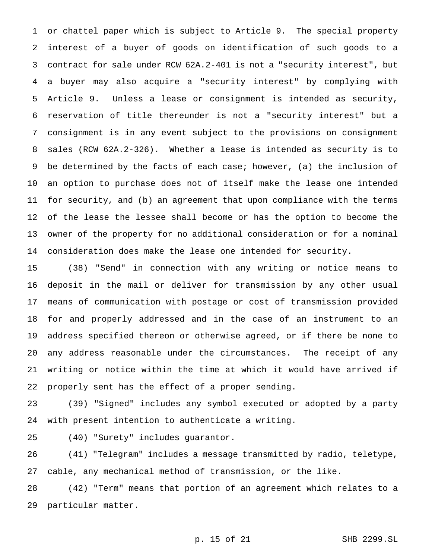or chattel paper which is subject to Article 9. The special property interest of a buyer of goods on identification of such goods to a contract for sale under RCW 62A.2-401 is not a "security interest", but a buyer may also acquire a "security interest" by complying with Article 9. Unless a lease or consignment is intended as security, reservation of title thereunder is not a "security interest" but a consignment is in any event subject to the provisions on consignment sales (RCW 62A.2-326). Whether a lease is intended as security is to be determined by the facts of each case; however, (a) the inclusion of an option to purchase does not of itself make the lease one intended for security, and (b) an agreement that upon compliance with the terms of the lease the lessee shall become or has the option to become the owner of the property for no additional consideration or for a nominal consideration does make the lease one intended for security.

 (38) "Send" in connection with any writing or notice means to deposit in the mail or deliver for transmission by any other usual means of communication with postage or cost of transmission provided for and properly addressed and in the case of an instrument to an address specified thereon or otherwise agreed, or if there be none to any address reasonable under the circumstances. The receipt of any writing or notice within the time at which it would have arrived if properly sent has the effect of a proper sending.

 (39) "Signed" includes any symbol executed or adopted by a party with present intention to authenticate a writing.

(40) "Surety" includes guarantor.

 (41) "Telegram" includes a message transmitted by radio, teletype, cable, any mechanical method of transmission, or the like.

 (42) "Term" means that portion of an agreement which relates to a particular matter.

p. 15 of 21 SHB 2299.SL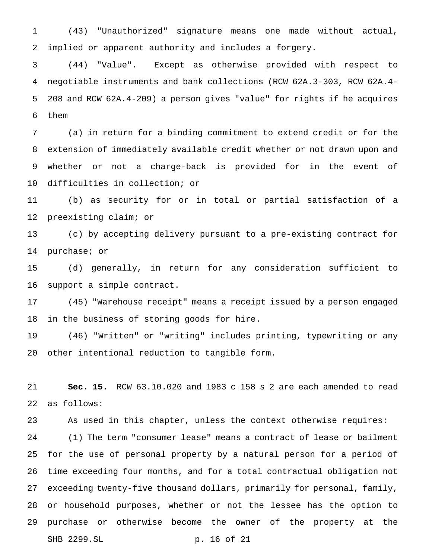(43) "Unauthorized" signature means one made without actual, implied or apparent authority and includes a forgery.

 (44) "Value". Except as otherwise provided with respect to negotiable instruments and bank collections (RCW 62A.3-303, RCW 62A.4- 208 and RCW 62A.4-209) a person gives "value" for rights if he acquires them

 (a) in return for a binding commitment to extend credit or for the extension of immediately available credit whether or not drawn upon and whether or not a charge-back is provided for in the event of difficulties in collection; or

 (b) as security for or in total or partial satisfaction of a preexisting claim; or

 (c) by accepting delivery pursuant to a pre-existing contract for purchase; or

 (d) generally, in return for any consideration sufficient to support a simple contract.

 (45) "Warehouse receipt" means a receipt issued by a person engaged in the business of storing goods for hire.

 (46) "Written" or "writing" includes printing, typewriting or any other intentional reduction to tangible form.

 **Sec. 15.** RCW 63.10.020 and 1983 c 158 s 2 are each amended to read as follows:

As used in this chapter, unless the context otherwise requires:

 (1) The term "consumer lease" means a contract of lease or bailment for the use of personal property by a natural person for a period of time exceeding four months, and for a total contractual obligation not exceeding twenty-five thousand dollars, primarily for personal, family, or household purposes, whether or not the lessee has the option to purchase or otherwise become the owner of the property at the SHB 2299.SL p. 16 of 21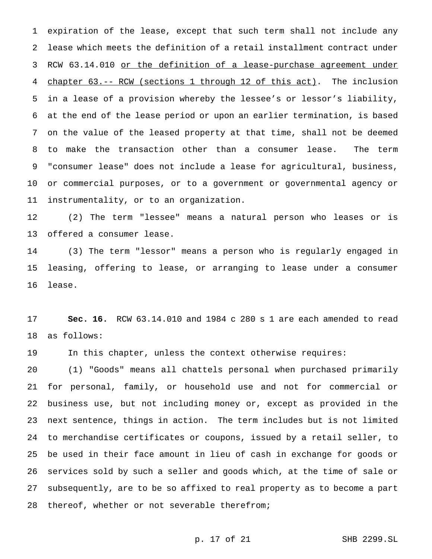expiration of the lease, except that such term shall not include any lease which meets the definition of a retail installment contract under 3 RCW 63.14.010 or the definition of a lease-purchase agreement under chapter 63.-- RCW (sections 1 through 12 of this act). The inclusion in a lease of a provision whereby the lessee's or lessor's liability, at the end of the lease period or upon an earlier termination, is based on the value of the leased property at that time, shall not be deemed to make the transaction other than a consumer lease. The term "consumer lease" does not include a lease for agricultural, business, or commercial purposes, or to a government or governmental agency or instrumentality, or to an organization.

 (2) The term "lessee" means a natural person who leases or is offered a consumer lease.

 (3) The term "lessor" means a person who is regularly engaged in leasing, offering to lease, or arranging to lease under a consumer lease.

 **Sec. 16.** RCW 63.14.010 and 1984 c 280 s 1 are each amended to read as follows:

In this chapter, unless the context otherwise requires:

 (1) "Goods" means all chattels personal when purchased primarily for personal, family, or household use and not for commercial or business use, but not including money or, except as provided in the next sentence, things in action. The term includes but is not limited to merchandise certificates or coupons, issued by a retail seller, to be used in their face amount in lieu of cash in exchange for goods or services sold by such a seller and goods which, at the time of sale or subsequently, are to be so affixed to real property as to become a part thereof, whether or not severable therefrom;

# p. 17 of 21 SHB 2299.SL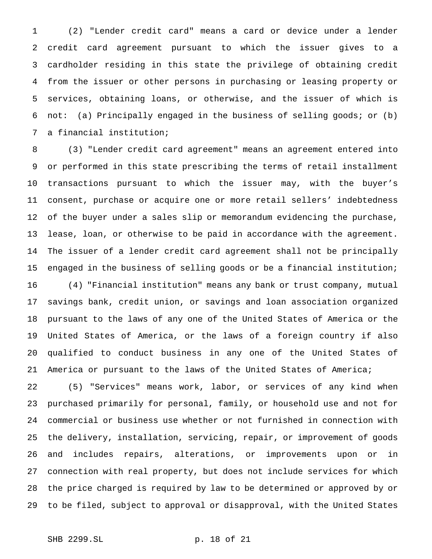(2) "Lender credit card" means a card or device under a lender credit card agreement pursuant to which the issuer gives to a cardholder residing in this state the privilege of obtaining credit from the issuer or other persons in purchasing or leasing property or services, obtaining loans, or otherwise, and the issuer of which is not: (a) Principally engaged in the business of selling goods; or (b) a financial institution;

 (3) "Lender credit card agreement" means an agreement entered into or performed in this state prescribing the terms of retail installment transactions pursuant to which the issuer may, with the buyer's consent, purchase or acquire one or more retail sellers' indebtedness of the buyer under a sales slip or memorandum evidencing the purchase, lease, loan, or otherwise to be paid in accordance with the agreement. The issuer of a lender credit card agreement shall not be principally engaged in the business of selling goods or be a financial institution;

 (4) "Financial institution" means any bank or trust company, mutual savings bank, credit union, or savings and loan association organized pursuant to the laws of any one of the United States of America or the United States of America, or the laws of a foreign country if also qualified to conduct business in any one of the United States of America or pursuant to the laws of the United States of America;

 (5) "Services" means work, labor, or services of any kind when purchased primarily for personal, family, or household use and not for commercial or business use whether or not furnished in connection with the delivery, installation, servicing, repair, or improvement of goods and includes repairs, alterations, or improvements upon or in connection with real property, but does not include services for which the price charged is required by law to be determined or approved by or to be filed, subject to approval or disapproval, with the United States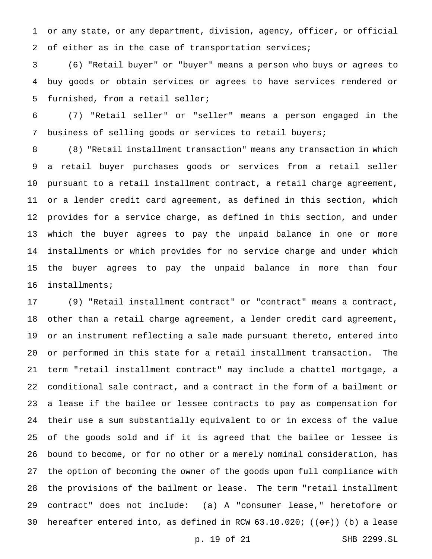or any state, or any department, division, agency, officer, or official 2 of either as in the case of transportation services;

 (6) "Retail buyer" or "buyer" means a person who buys or agrees to buy goods or obtain services or agrees to have services rendered or furnished, from a retail seller;

 (7) "Retail seller" or "seller" means a person engaged in the business of selling goods or services to retail buyers;

 (8) "Retail installment transaction" means any transaction in which a retail buyer purchases goods or services from a retail seller pursuant to a retail installment contract, a retail charge agreement, or a lender credit card agreement, as defined in this section, which provides for a service charge, as defined in this section, and under which the buyer agrees to pay the unpaid balance in one or more installments or which provides for no service charge and under which the buyer agrees to pay the unpaid balance in more than four installments;

 (9) "Retail installment contract" or "contract" means a contract, other than a retail charge agreement, a lender credit card agreement, or an instrument reflecting a sale made pursuant thereto, entered into or performed in this state for a retail installment transaction. The term "retail installment contract" may include a chattel mortgage, a conditional sale contract, and a contract in the form of a bailment or a lease if the bailee or lessee contracts to pay as compensation for their use a sum substantially equivalent to or in excess of the value of the goods sold and if it is agreed that the bailee or lessee is bound to become, or for no other or a merely nominal consideration, has the option of becoming the owner of the goods upon full compliance with the provisions of the bailment or lease. The term "retail installment contract" does not include: (a) A "consumer lease," heretofore or 30 hereafter entered into, as defined in RCW  $63.10.020$ ; (( $\Theta$ r)) (b) a lease

p. 19 of 21 SHB 2299.SL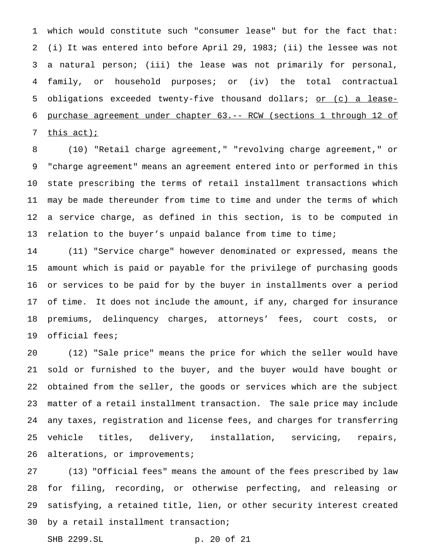which would constitute such "consumer lease" but for the fact that: (i) It was entered into before April 29, 1983; (ii) the lessee was not a natural person; (iii) the lease was not primarily for personal, family, or household purposes; or (iv) the total contractual 5 obligations exceeded twenty-five thousand dollars; or (c) a lease- purchase agreement under chapter 63.-- RCW (sections 1 through 12 of 7 this act);

 (10) "Retail charge agreement," "revolving charge agreement," or "charge agreement" means an agreement entered into or performed in this state prescribing the terms of retail installment transactions which may be made thereunder from time to time and under the terms of which a service charge, as defined in this section, is to be computed in relation to the buyer's unpaid balance from time to time;

 (11) "Service charge" however denominated or expressed, means the amount which is paid or payable for the privilege of purchasing goods or services to be paid for by the buyer in installments over a period of time. It does not include the amount, if any, charged for insurance premiums, delinquency charges, attorneys' fees, court costs, or official fees;

 (12) "Sale price" means the price for which the seller would have sold or furnished to the buyer, and the buyer would have bought or obtained from the seller, the goods or services which are the subject matter of a retail installment transaction. The sale price may include any taxes, registration and license fees, and charges for transferring vehicle titles, delivery, installation, servicing, repairs, 26 alterations, or improvements;

 (13) "Official fees" means the amount of the fees prescribed by law for filing, recording, or otherwise perfecting, and releasing or satisfying, a retained title, lien, or other security interest created by a retail installment transaction;

SHB 2299.SL p. 20 of 21